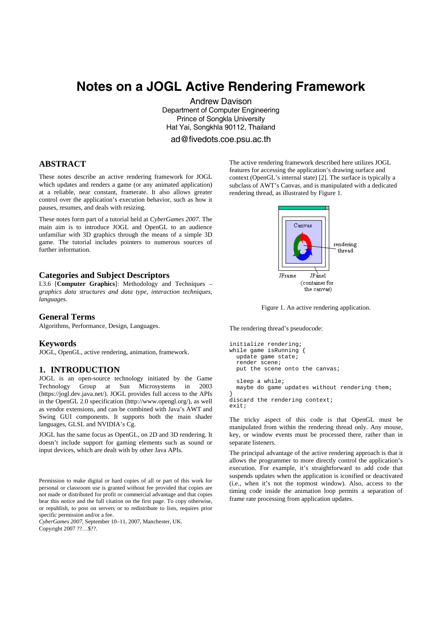# **Notes on a JOGL Active Rendering Framework**

Andrew Davison Department of Computer Engineering Prince of Songkla University Hat Yai, Songkhla 90112, Thailand

ad@fivedots.coe.psu.ac.th

### **ABSTRACT**

These notes describe an active rendering framework for JOGL which updates and renders a game (or any animated application) at a reliable, near constant, framerate. It also allows greater control over the application's execution behavior, such as how it pauses, resumes, and deals with resizing.

These notes form part of a tutorial held at *CyberGames 2007*. The main aim is to introduce JOGL and OpenGL to an audience unfamiliar with 3D graphics through the means of a simple 3D game. The tutorial includes pointers to numerous sources of further information.

#### **Categories and Subject Descriptors**

I.3.6 [**Computer Graphics**]: Methodology and Techniques – *graphics data structures and data type, interaction techniques, languages.* 

#### **General Terms**

Algorithms, Performance, Design, Languages.

#### **Keywords**

JOGL, OpenGL, active rendering, animation, framework.

#### **1. INTRODUCTION**

JOGL is an open-source technology initiated by the Game Technology Group at Sun Microsystems in 2003 (https://jogl.dev.java.net/). JOGL provides full access to the APIs in the OpenGL 2.0 specification (http://www.opengl.org/), as well as vendor extensions, and can be combined with Java's AWT and Swing GUI components. It supports both the main shader languages, GLSL and NVIDIA's Cg.

JOGL has the same focus as OpenGL, on 2D and 3D rendering. It doesn't include support for gaming elements such as sound or input devices, which are dealt with by other Java APIs.

Permission to make digital or hard copies of all or part of this work for personal or classroom use is granted without fee provided that copies are not made or distributed for profit or commercial advantage and that copies bear this notice and the full citation on the first page. To copy otherwise, or republish, to post on servers or to redistribute to lists, requires prior specific permission and/or a fee.

*CyberGames 2007*, September 10–11, 2007, Manchester, UK. Copyright 2007 ??…\$??.

The active rendering framework described here utilizes JOGL features for accessing the application's drawing surface and context (OpenGL's internal state) [2]. The surface is typically a subclass of AWT's Canvas, and is manipulated with a dedicated rendering thread, as illustrated by Figure 1.



Figure 1. An active rendering application.

The rendering thread's pseudocode:

```
initialize rendering; 
while game isRunning { 
  update game state; 
   render scene; 
 put the scene onto the canvas;
   sleep a while; 
 maybe do game updates without rendering them;
} 
discard the rendering context;
exit;
```
The tricky aspect of this code is that OpenGL must be manipulated from within the rendering thread only. Any mouse, key, or window events must be processed there, rather than in separate listeners.

The principal advantage of the active rendering approach is that it allows the programmer to more directly control the application's execution. For example, it's straightforward to add code that suspends updates when the application is iconified or deactivated (i.e., when it's not the topmost window). Also, access to the timing code inside the animation loop permits a separation of frame rate processing from application updates.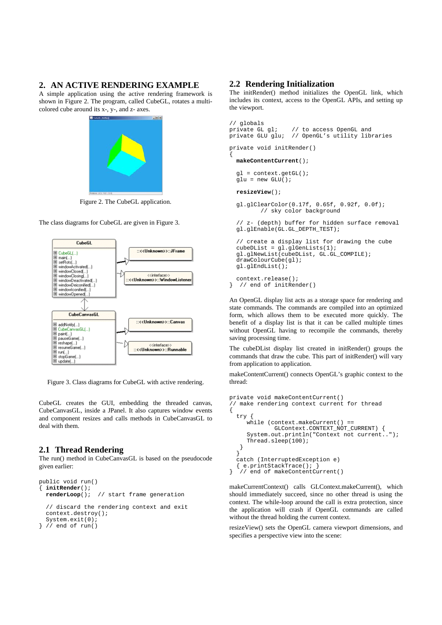## **2. AN ACTIVE RENDERING EXAMPLE**

A simple application using the active rendering framework is shown in Figure 2. The program, called CubeGL, rotates a multicolored cube around its x-, y-, and z- axes.



Figure 2. The CubeGL application.

The class diagrams for CubeGL are given in Figure 3.



Figure 3. Class diagrams for CubeGL with active rendering.

CubeGL creates the GUI, embedding the threaded canvas, CubeCanvasGL, inside a JPanel. It also captures window events and component resizes and calls methods in CubeCanvasGL to deal with them.

#### **2.1 Thread Rendering**

The run() method in CubeCanvasGL is based on the pseudocode given earlier:

```
public void run() 
 { initRender(); 
   renderLoop(); // start frame generation 
   // discard the rendering context and exit 
   context.destroy(); 
   System.exit(0); 
} / / end of run()
```
#### **2.2 Rendering Initialization**

The initRender() method initializes the OpenGL link, which includes its context, access to the OpenGL APIs, and setting up the viewport.

```
// globals<br>private GL ql;
private GL gl; // to access OpenGL and<br>private GLU qlu; // OpenGL's utility lib
                                 private Gradie Gradie (// OpenGL's utility libraries
```
private void initRender()

```
{ 
  makeContentCurrent();
```

```
 gl = context.getGL(); 
glu = new GLU()
```
**resizeView**();

```
 gl.glClearColor(0.17f, 0.65f, 0.92f, 0.0f); 
        // sky color background
```
 // z- (depth) buffer for hidden surface removal gl.glEnable(GL.GL\_DEPTH\_TEST);

```
 // create a display list for drawing the cube 
cubeDList = gl.glGenLists(1); gl.glNewList(cubeDList, GL.GL_COMPILE); 
 drawColourCube(gl); 
 gl.glEndList();
```

```
context.release();<br>} // end of initRen
  // end of initRender()
```
An OpenGL display list acts as a storage space for rendering and state commands. The commands are compiled into an optimized form, which allows them to be executed more quickly. The benefit of a display list is that it can be called multiple times without OpenGL having to recompile the commands, thereby saving processing time.

The cubeDList display list created in initRender() groups the commands that draw the cube. This part of initRender() will vary from application to application.

makeContentCurrent() connects OpenGL's graphic context to the thread:

```
private void makeContentCurrent() 
  make rendering context current for thread
{ 
  try
     while (context.makeCurrent() ==
              GLContext.CONTEXT_NOT_CURRENT) { 
      System.out.println("Context not current.."); 
      Thread.sleep(100); 
    } 
 } 
   catch (InterruptedException e) 
   e.printStackTrace(); }
} // end of makeContentCurrent()
```
makeCurrentContext() calls GLContext.makeCurrent(), which should immediately succeed, since no other thread is using the context. The while-loop around the call is extra protection, since the application will crash if OpenGL commands are called without the thread holding the current context.

resizeView() sets the OpenGL camera viewport dimensions, and specifies a perspective view into the scene: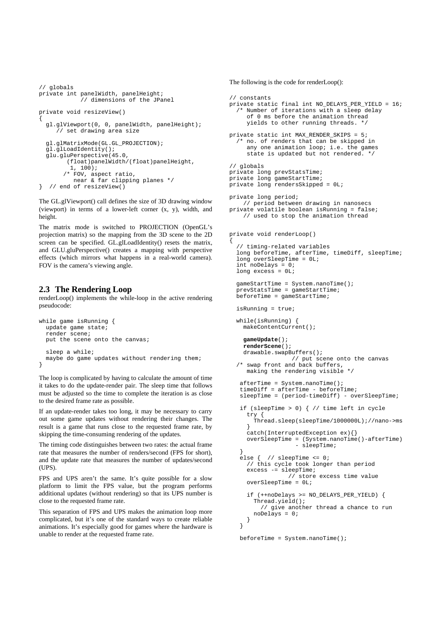```
// globals 
private int panelWidth, panelHeight;
              // dimensions of the JPanel 
private void resizeView() 
{ 
   gl.glViewport(0, 0, panelWidth, panelHeight); 
      // set drawing area size 
   gl.glMatrixMode(GL.GL_PROJECTION); 
   gl.glLoadIdentity(); 
   glu.gluPerspective(45.0, 
         (float)panelWidth/(float)panelHeight, 
          1, 100); 
        /* FOV, aspect ratio, 
           near & far clipping planes */ 
} // end of resizeView()
```
The GL.glViewport() call defines the size of 3D drawing window (viewport) in terms of a lower-left corner (x, y), width, and height.

The matrix mode is switched to PROJECTION (OpenGL's projection matrix) so the mapping from the 3D scene to the 2D screen can be specified. GL.glLoadIdentity() resets the matrix, and GLU.gluPerspective() creates a mapping with perspective effects (which mirrors what happens in a real-world camera). FOV is the camera's viewing angle.

#### **2.3 The Rendering Loop**

renderLoop() implements the while-loop in the active rendering pseudocode:

```
while game isRunning { 
  update game state;
   render scene; 
   put the scene onto the canvas; 
   sleep a while; 
   maybe do game updates without rendering them; 
}
```
The loop is complicated by having to calculate the amount of time it takes to do the update-render pair. The sleep time that follows must be adjusted so the time to complete the iteration is as close to the desired frame rate as possible.

If an update-render takes too long, it may be necessary to carry out some game updates without rendering their changes. The result is a game that runs close to the requested frame rate, by skipping the time-consuming rendering of the updates.

The timing code distinguishes between two rates: the actual frame rate that measures the number of renders/second (FPS for short), and the update rate that measures the number of updates/second (UPS).

FPS and UPS aren't the same. It's quite possible for a slow platform to limit the FPS value, but the program performs additional updates (without rendering) so that its UPS number is close to the requested frame rate.

This separation of FPS and UPS makes the animation loop more complicated, but it's one of the standard ways to create reliable animations. It's especially good for games where the hardware is unable to render at the requested frame rate.

The following is the code for renderLoop():

```
// constants 
private static final int NO_DELAYS_PER_YIELD = 16; 
   /* Number of iterations with a sleep delay 
      of 0 ms before the animation thread 
      yields to other running threads. */ 
private static int MAX RENDER SKIPS = 5;
   /* no. of renders that can be skipped in 
      any one animation loop; i.e. the games 
      state is updated but not rendered. */ 
// globals 
private long prevStatsTime; 
private long gameStartTime; 
private long rendersSkipped = 0L; 
private long period; 
     // period between drawing in nanosecs 
private volatile boolean isRunning = false; 
     // used to stop the animation thread 
private void renderLoop() 
{ 
   // timing-related variables 
  long beforeTime, afterTime, timeDiff, sleepTime;
   long overSleepTime = 0L; 
   int noDelays = 0; 
  long excess = 0L;
   gameStartTime = System.nanoTime(); 
  \overline{p} prevStatsTime = qameStartTime;
   beforeTime = gameStartTime; 
   isRunning = true; 
   while(isRunning) { 
     makeContentCurrent(); 
     gameUpdate(); 
     renderScene(); 
     drawable.swapBuffers(); 
 // put scene onto the canvas 
 /* swap front and back buffers, 
      making the rendering visible */ 
    afterTime = System.nanoTime(); 
    timeDiff = afterTime - beforeTime; 
    sleepTime = (period-timeDiff) - overSleepTime; 
   if (sleepTime > 0) { // time left in cycle
      try { 
        Thread.sleep(sleepTime/1000000L);//nano->ms 
 } 
      catch(InterruptedException ex){} 
      overSleepTime = (System.nanoTime()-afterTime) 
                    - sleepTime;
 } 
 else { // sleepTime <= 0; 
      // this cycle took longer than period 
      excess -= sleepTime; 
                   // store excess time value 
      overSleepTime = 0L; 
      if (++noDelays >= NO_DELAYS_PER_YIELD) { 
        Thread.yield(); 
          // give another thread a chance to run 
        noDelays = 0; 
      } 
    }
```
beforeTime = System.nanoTime();